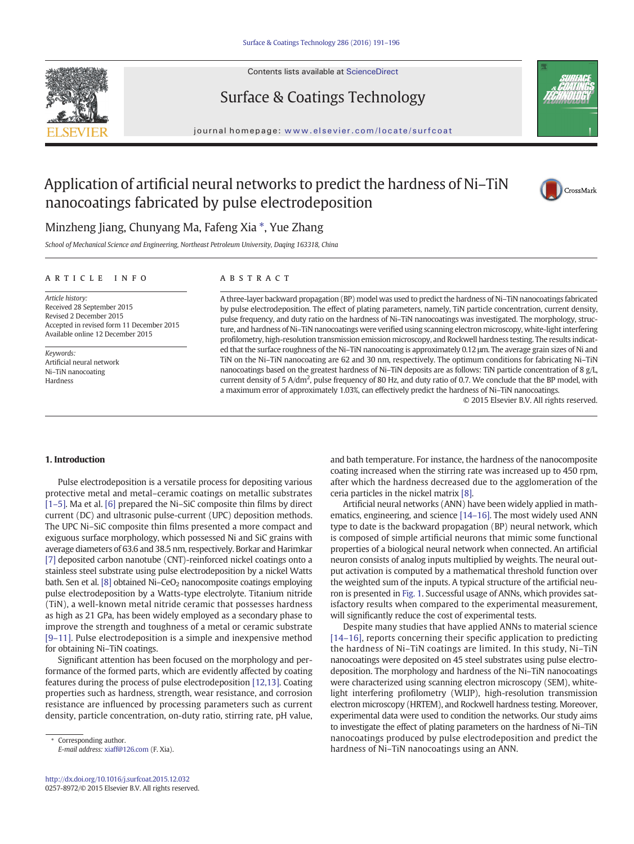

# Surface & Coatings Technology



journal homepage: <www.elsevier.com/locate/surfcoat>

## Application of artificial neural networks to predict the hardness of Ni–TiN nanocoatings fabricated by pulse electrodeposition



## Minzheng Jiang, Chunyang Ma, Fafeng Xia  $*$ , Yue Zhang

School of Mechanical Science and Engineering, Northeast Petroleum University, Daqing 163318, China

#### article info abstract

Article history: Received 28 September 2015 Revised 2 December 2015 Accepted in revised form 11 December 2015 Available online 12 December 2015

Keywords: Artificial neural network Ni–TiN nanocoating Hardness

A three-layer backward propagation (BP) model was used to predict the hardness of Ni–TiN nanocoatings fabricated by pulse electrodeposition. The effect of plating parameters, namely, TiN particle concentration, current density, pulse frequency, and duty ratio on the hardness of Ni–TiN nanocoatings was investigated. The morphology, structure, and hardness of Ni–TiN nanocoatings were verified using scanning electron microscopy, white-light interfering profilometry, high-resolution transmission emission microscopy, and Rockwell hardness testing. The results indicated that the surface roughness of the Ni–TiN nanocoating is approximately 0.12 μm. The average grain sizes of Ni and TiN on the Ni–TiN nanocoating are 62 and 30 nm, respectively. The optimum conditions for fabricating Ni–TiN nanocoatings based on the greatest hardness of Ni–TiN deposits are as follows: TiN particle concentration of 8 g/L, current density of 5 A/dm<sup>2</sup>, pulse frequency of 80 Hz, and duty ratio of 0.7. We conclude that the BP model, with a maximum error of approximately 1.03%, can effectively predict the hardness of Ni–TiN nanocoatings.

© 2015 Elsevier B.V. All rights reserved.

### 1. Introduction

Pulse electrodeposition is a versatile process for depositing various protective metal and metal–ceramic coatings on metallic substrates [1–[5\].](#page--1-0) Ma et al. [\[6\]](#page--1-0) prepared the Ni–SiC composite thin films by direct current (DC) and ultrasonic pulse-current (UPC) deposition methods. The UPC Ni–SiC composite thin films presented a more compact and exiguous surface morphology, which possessed Ni and SiC grains with average diameters of 63.6 and 38.5 nm, respectively. Borkar and Harimkar [\[7\]](#page--1-0) deposited carbon nanotube (CNT)-reinforced nickel coatings onto a stainless steel substrate using pulse electrodeposition by a nickel Watts bath. Sen et al.  $[8]$  obtained Ni–CeO<sub>2</sub> nanocomposite coatings employing pulse electrodeposition by a Watts-type electrolyte. Titanium nitride (TiN), a well-known metal nitride ceramic that possesses hardness as high as 21 GPa, has been widely employed as a secondary phase to improve the strength and toughness of a metal or ceramic substrate [9–[11\].](#page--1-0) Pulse electrodeposition is a simple and inexpensive method for obtaining Ni–TiN coatings.

Significant attention has been focused on the morphology and performance of the formed parts, which are evidently affected by coating features during the process of pulse electrodeposition [\[12,13\]](#page--1-0). Coating properties such as hardness, strength, wear resistance, and corrosion resistance are influenced by processing parameters such as current density, particle concentration, on-duty ratio, stirring rate, pH value,

Corresponding author.

E-mail address: [xiaff@126.com](mailto:xiaff@126.com) (F. Xia).

and bath temperature. For instance, the hardness of the nanocomposite coating increased when the stirring rate was increased up to 450 rpm, after which the hardness decreased due to the agglomeration of the ceria particles in the nickel matrix [\[8\]](#page--1-0).

Artificial neural networks (ANN) have been widely applied in mathematics, engineering, and science [\[14](#page--1-0)–16]. The most widely used ANN type to date is the backward propagation (BP) neural network, which is composed of simple artificial neurons that mimic some functional properties of a biological neural network when connected. An artificial neuron consists of analog inputs multiplied by weights. The neural output activation is computed by a mathematical threshold function over the weighted sum of the inputs. A typical structure of the artificial neuron is presented in [Fig. 1](#page-1-0). Successful usage of ANNs, which provides satisfactory results when compared to the experimental measurement, will significantly reduce the cost of experimental tests.

Despite many studies that have applied ANNs to material science [14–[16\]](#page--1-0), reports concerning their specific application to predicting the hardness of Ni–TiN coatings are limited. In this study, Ni–TiN nanocoatings were deposited on 45 steel substrates using pulse electrodeposition. The morphology and hardness of the Ni–TiN nanocoatings were characterized using scanning electron microscopy (SEM), whitelight interfering profilometry (WLIP), high-resolution transmission electron microscopy (HRTEM), and Rockwell hardness testing. Moreover, experimental data were used to condition the networks. Our study aims to investigate the effect of plating parameters on the hardness of Ni–TiN nanocoatings produced by pulse electrodeposition and predict the hardness of Ni–TiN nanocoatings using an ANN.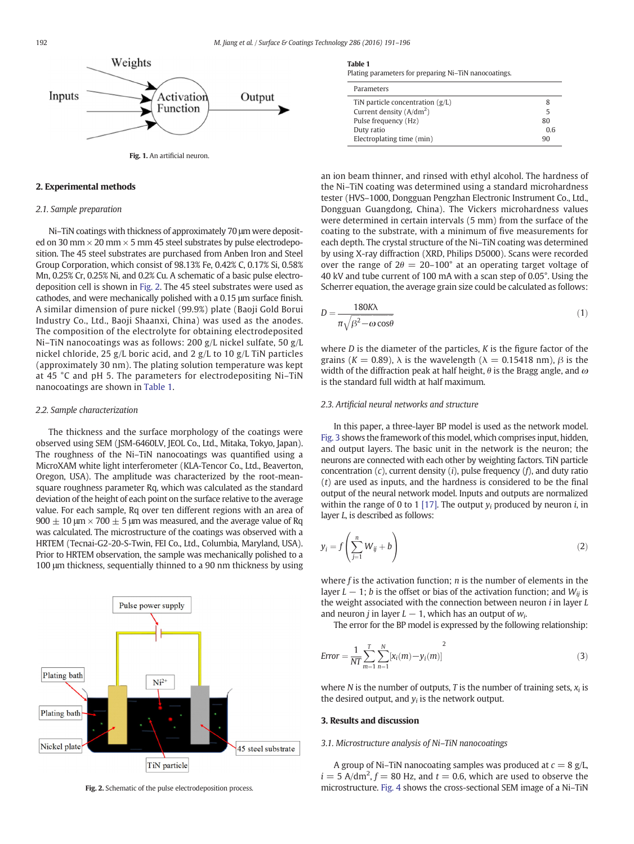<span id="page-1-0"></span>

#### 2. Experimental methods

#### 2.1. Sample preparation

Ni–TiN coatings with thickness of approximately 70 μm were deposited on 30 mm  $\times$  20 mm  $\times$  5 mm 45 steel substrates by pulse electrodeposition. The 45 steel substrates are purchased from Anben Iron and Steel Group Corporation, which consist of 98.13% Fe, 0.42% C, 0.17% Si, 0.58% Mn, 0.25% Cr, 0.25% Ni, and 0.2% Cu. A schematic of a basic pulse electrodeposition cell is shown in Fig. 2. The 45 steel substrates were used as cathodes, and were mechanically polished with a 0.15 μm surface finish. A similar dimension of pure nickel (99.9%) plate (Baoji Gold Borui Industry Co., Ltd., Baoji Shaanxi, China) was used as the anodes. The composition of the electrolyte for obtaining electrodeposited Ni–TiN nanocoatings was as follows: 200 g/L nickel sulfate, 50 g/L nickel chloride, 25 g/L boric acid, and 2 g/L to 10 g/L TiN particles (approximately 30 nm). The plating solution temperature was kept at 45 °C and pH 5. The parameters for electrodepositing Ni–TiN nanocoatings are shown in Table 1.

#### 2.2. Sample characterization

The thickness and the surface morphology of the coatings were observed using SEM (JSM-6460LV, JEOL Co., Ltd., Mitaka, Tokyo, Japan). The roughness of the Ni–TiN nanocoatings was quantified using a MicroXAM white light interferometer (KLA-Tencor Co., Ltd., Beaverton, Oregon, USA). The amplitude was characterized by the root-meansquare roughness parameter Rq, which was calculated as the standard deviation of the height of each point on the surface relative to the average value. For each sample, Rq over ten different regions with an area of  $900 \pm 10$  μm  $\times$  700  $\pm$  5 μm was measured, and the average value of Rq was calculated. The microstructure of the coatings was observed with a HRTEM (Tecnai-G2-20-S-Twin, FEI Co., Ltd., Columbia, Maryland, USA). Prior to HRTEM observation, the sample was mechanically polished to a 100 μm thickness, sequentially thinned to a 90 nm thickness by using



Fig. 2. Schematic of the pulse electrodeposition process.

Plating parameters for preparing Ni–TiN nanocoatings.

| Parameters                         |    |
|------------------------------------|----|
| TiN particle concentration $(g/L)$ | 8  |
| Current density $(A/dm^2)$         | 5  |
| Pulse frequency (Hz)               | 80 |
| Duty ratio                         | 06 |
| Electroplating time (min)          | 90 |

an ion beam thinner, and rinsed with ethyl alcohol. The hardness of the Ni–TiN coating was determined using a standard microhardness tester (HVS–1000, Dongguan Pengzhan Electronic Instrument Co., Ltd., Dongguan Guangdong, China). The Vickers microhardness values were determined in certain intervals (5 mm) from the surface of the coating to the substrate, with a minimum of five measurements for each depth. The crystal structure of the Ni–TiN coating was determined by using X-ray diffraction (XRD, Philips D5000). Scans were recorded over the range of  $2\theta = 20 - 100^{\circ}$  at an operating target voltage of 40 kV and tube current of 100 mA with a scan step of 0.05°. Using the Scherrer equation, the average grain size could be calculated as follows:

$$
D = \frac{180K\lambda}{\pi\sqrt{\beta^2 - \omega\cos\theta}}\tag{1}
$$

where  $D$  is the diameter of the particles,  $K$  is the figure factor of the grains (K = 0.89),  $\lambda$  is the wavelength ( $\lambda$  = 0.15418 nm),  $\beta$  is the width of the diffraction peak at half height,  $\theta$  is the Bragg angle, and  $\omega$ is the standard full width at half maximum.

#### 2.3. Artificial neural networks and structure

In this paper, a three-layer BP model is used as the network model. [Fig. 3](#page--1-0) shows the framework of this model, which comprises input, hidden, and output layers. The basic unit in the network is the neuron; the neurons are connected with each other by weighting factors. TiN particle concentration  $(c)$ , current density  $(i)$ , pulse frequency  $(f)$ , and duty ratio  $(t)$  are used as inputs, and the hardness is considered to be the final output of the neural network model. Inputs and outputs are normalized within the range of 0 to 1 [\[17\].](#page--1-0) The output  $y_i$  produced by neuron *i*, in layer L, is described as follows:

$$
y_i = f\left(\sum_{j=1}^n W_{ij} + b\right) \tag{2}
$$

where  $f$  is the activation function;  $n$  is the number of elements in the layer  $L - 1$ ; *b* is the offset or bias of the activation function; and  $W_{ii}$  is the weight associated with the connection between neuron  $i$  in layer  $L$ and neuron *j* in layer  $L - 1$ , which has an output of  $w_i$ .

The error for the BP model is expressed by the following relationship:

$$
Error = \frac{1}{NT} \sum_{m=1}^{T} \sum_{n=1}^{N} [x_i(m) - y_i(m)]^2
$$
 (3)

where N is the number of outputs, T is the number of training sets,  $x_i$  is the desired output, and  $y_i$  is the network output.

#### 3. Results and discussion

#### 3.1. Microstructure analysis of Ni–TiN nanocoatings

A group of Ni–TiN nanocoating samples was produced at  $c = 8$  g/L,  $i = 5$  A/dm<sup>2</sup>,  $f = 80$  Hz, and  $t = 0.6$ , which are used to observe the microstructure. [Fig. 4](#page--1-0) shows the cross-sectional SEM image of a Ni–TiN